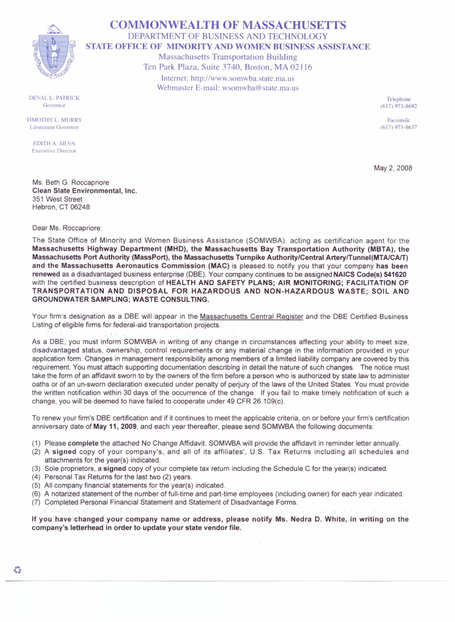## COMMONWEALTH OF MASSACHUSETTS DEPARTMENT OF BUSINESS AND TECHNOLOGY STATE OFFICE OF MINORITY AND WOMEN BUSINESS ASSISTANCE Massachusetts Transportation Building Ten Park Plaza, Suite 3740, Boston, MA 02116 Internet: http://www.somwba.state.ma.us Webmaster E-mail: wsomwba@state.ma.us

Telephone (617) 973-8692

Facsimile (617) 973-8637

May 2, 2008

DEVAL L. PATRICK Governor

TIMOTHY L. MURRY Lieutenant Governor

EDITH A. SILVA Executive Director

Ms. Beth G. Roccapriore Clean Slate Environmental, Inc. 351 West Street Hebron, CT 06248

Dear Ms. Roccapriore:

The State Office of Minority and Women Business Assistance (SOMWBA) acting as certification agent for the Massachusetts Highway Department (MHO), the Massachusetts Bay Transportation Authority (MBTA), the Massachusetts Port Authority (MassPort), the Massachusetts Turnpike Authority/Central ArterylTunnel(MTA/CAIT) and the Massachusetts Aeronautics Commission (MAC) is pleased to notify you that your company has been renewed as a disadvantaged business enterprise (DBE). Your company continues to be assigned NAICS Code(s) 541620 with the certified business description of HEALTH AND SAFETY PLANS; AIR MONITORING; FACILITATION OF TRANSPORTATION AND DISPOSAL FOR HAZARDOUS AND NON-HAZARDOUS WASTE; SOIL AND GROUNDWATER SAMPLING; WASTE CONSULTING.

Your firm's designation as a DBE will appear in the Massachusetts Central Register and the DBE Certified Business Listing of eligible firms for federal-aid transportation projects.

As a DBE, you must inform SOMWBA in writing of any change in circumstances affecting your ability to meet size, disadvantaged status, ownership, control requirements or any material change in the information provided in your application form. Changes in management responsibility among members of a limited liability company are covered by this requirement. You must attach supporting documentation describing in detail the nature of such changes. The notice must take the form of an affidavit sworn to by the owners of the firm before a person who is authorized by state law to administer oaths or of an un-sworn declaration executed under penalty of perjury of the laws of the United States. You must provide the written notification within 30 days of the occurrence of the change. If you fail to make timely notification of such a change, you will be deemed to have failed to cooperate under 49 CFR 26.109(c).

To renew your firm's DBE certification and if it continues to meet the applicable criteria, on or before your firm's certification anniversary date of May 11, 2009, and each year thereafter, please send SOMWBA the following documents:

- (1) Please complete the attached No Change Affidavit. SOMWBA will provide the affidavit in reminder letter annually.
- (2) A signed copy of your company's, and all of its affiliates', U.S. Tax Returns including all schedules and attachments for the year(s) indicated.
- (3) Sole proprietors, a signed copy of your complete tax return including the Schedule C for the year(s) indicated.
- (4) Personal Tax Returns for the last two (2) years.
- (5) All company financial statements for the year(s) indicated.
- (6) A notarized statement of the number of full-time and part-time employees (including owner) for each year indicated.
- (7) Completed Personal Financial Statement and Statement of Disadvantage Forms.

If you have changed your company name or address, please notify Ms. Nedra D. White, in writing on the company's letterhead in order to update your state vendor file.